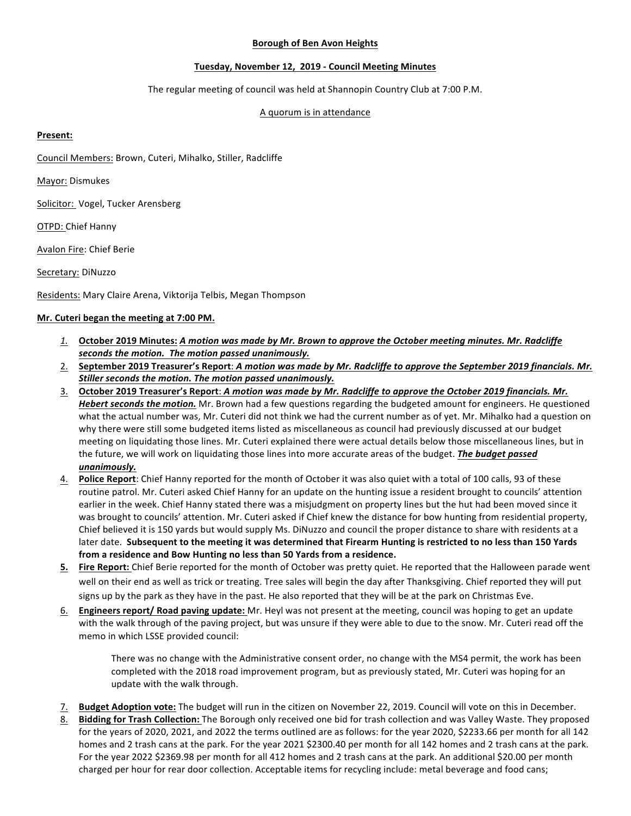### **Borough of Ben Avon Heights**

# **Tuesday, November 12, 2019 - Council Meeting Minutes**

The regular meeting of council was held at Shannopin Country Club at 7:00 P.M.

## A quorum is in attendance

### **Present:**

Council Members: Brown, Cuteri, Mihalko, Stiller, Radcliffe

Mayor: Dismukes

Solicitor: Vogel, Tucker Arensberg

OTPD: Chief Hanny

Avalon Fire: Chief Berie

Secretary: DiNuzzo

Residents: Mary Claire Arena, Viktorija Telbis, Megan Thompson

# **Mr.** Cuteri began the meeting at 7:00 PM.

- *1.* **October 2019 Minutes:** *A motion was made by Mr. Brown to approve the October meeting minutes. Mr. Radcliffe* seconds the motion. The motion passed unanimously.
- 2. September 2019 Treasurer's Report: A motion was made by Mr. Radcliffe to approve the September 2019 financials. Mr. Stiller seconds the motion. The motion passed unanimously.
- 3. October 2019 Treasurer's Report: *A motion was made by Mr. Radcliffe to approve the October 2019 financials. Mr. Hebert seconds the motion.* Mr. Brown had a few questions regarding the budgeted amount for engineers. He questioned what the actual number was, Mr. Cuteri did not think we had the current number as of yet. Mr. Mihalko had a question on why there were still some budgeted items listed as miscellaneous as council had previously discussed at our budget meeting on liquidating those lines. Mr. Cuteri explained there were actual details below those miscellaneous lines, but in the future, we will work on liquidating those lines into more accurate areas of the budget. *The budget passed unanimously.*
- 4. Police Report: Chief Hanny reported for the month of October it was also quiet with a total of 100 calls, 93 of these routine patrol. Mr. Cuteri asked Chief Hanny for an update on the hunting issue a resident brought to councils' attention earlier in the week. Chief Hanny stated there was a misjudgment on property lines but the hut had been moved since it was brought to councils' attention. Mr. Cuteri asked if Chief knew the distance for bow hunting from residential property, Chief believed it is 150 yards but would supply Ms. DiNuzzo and council the proper distance to share with residents at a later date. Subsequent to the meeting it was determined that Firearm Hunting is restricted to no less than 150 Yards from a residence and Bow Hunting no less than 50 Yards from a residence.
- **5.** Fire Report: Chief Berie reported for the month of October was pretty quiet. He reported that the Halloween parade went well on their end as well as trick or treating. Tree sales will begin the day after Thanksgiving. Chief reported they will put signs up by the park as they have in the past. He also reported that they will be at the park on Christmas Eve.
- 6. **Engineers report/ Road paving update:** Mr. Heyl was not present at the meeting, council was hoping to get an update with the walk through of the paving project, but was unsure if they were able to due to the snow. Mr. Cuteri read off the memo in which LSSE provided council:

There was no change with the Administrative consent order, no change with the MS4 permit, the work has been completed with the 2018 road improvement program, but as previously stated, Mr. Cuteri was hoping for an update with the walk through.

- 7. Budget Adoption vote: The budget will run in the citizen on November 22, 2019. Council will vote on this in December.
- 8. Bidding for Trash Collection: The Borough only received one bid for trash collection and was Valley Waste. They proposed for the years of 2020, 2021, and 2022 the terms outlined are as follows: for the year 2020, \$2233.66 per month for all 142 homes and 2 trash cans at the park. For the year 2021 \$2300.40 per month for all 142 homes and 2 trash cans at the park. For the year 2022 \$2369.98 per month for all 412 homes and 2 trash cans at the park. An additional \$20.00 per month charged per hour for rear door collection. Acceptable items for recycling include: metal beverage and food cans;